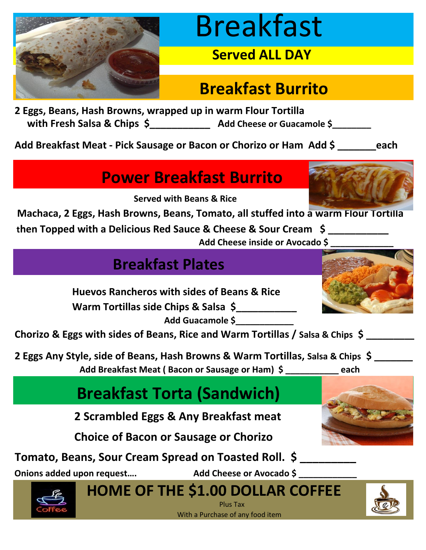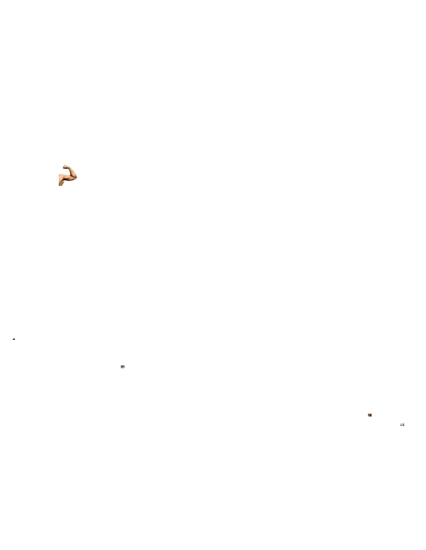

 $\ddot{\phantom{a}}$